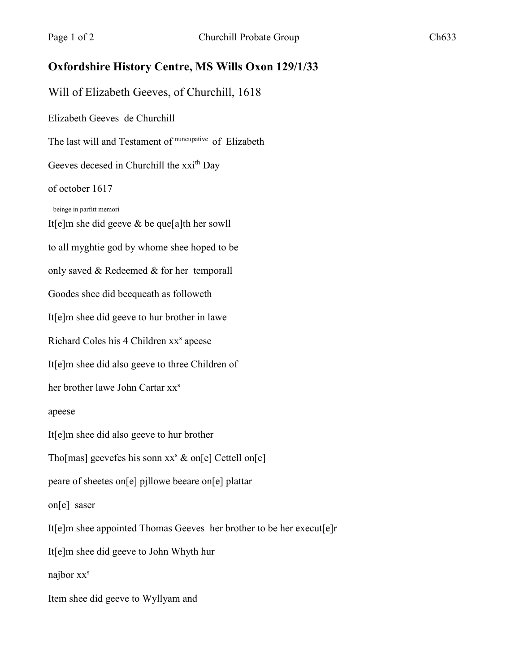## **Oxfordshire History Centre, MS Wills Oxon 129/1/33**

Will of Elizabeth Geeves, of Churchill, 1618

Elizabeth Geeves de Churchill

The last will and Testament of nuncupative of Elizabeth

Geeves decesed in Churchill the xxi<sup>th</sup> Day

## of october 1617

beinge in parfitt memori

It[e]m she did geeve & be que[a]th her sowll to all myghtie god by whome shee hoped to be only saved & Redeemed & for her temporall Goodes shee did beequeath as followeth It[e]m shee did geeve to hur brother in lawe Richard Coles his 4 Children xx<sup>s</sup> apeese It[e]m shee did also geeve to three Children of her brother lawe John Cartar xx<sup>s</sup> apeese It[e]m shee did also geeve to hur brother Tho[mas] geevefes his sonn  $xx^s$  & on[e] Cettell on[e] peare of sheetes on[e] pjllowe beeare on[e] plattar on[e] saser It[e]m shee appointed Thomas Geeves her brother to be her execut[e]r It[e]m shee did geeve to John Whyth hur najbor  $xx^s$ Item shee did geeve to Wyllyam and